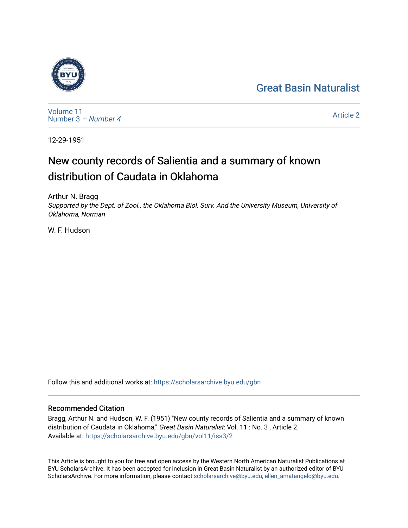## [Great Basin Naturalist](https://scholarsarchive.byu.edu/gbn)



[Volume 11](https://scholarsarchive.byu.edu/gbn/vol11) [Number 3](https://scholarsarchive.byu.edu/gbn/vol11/iss3) – Number 4

[Article 2](https://scholarsarchive.byu.edu/gbn/vol11/iss3/2) 

12-29-1951

# New county records of Salientia and a summary of known distribution of Caudata in Oklahoma

Arthur N. Bragg Supported by the Dept. of Zool., the Oklahoma Biol. Surv. And the University Museum, University of Oklahoma, Norman

W. F. Hudson

Follow this and additional works at: [https://scholarsarchive.byu.edu/gbn](https://scholarsarchive.byu.edu/gbn?utm_source=scholarsarchive.byu.edu%2Fgbn%2Fvol11%2Fiss3%2F2&utm_medium=PDF&utm_campaign=PDFCoverPages) 

## Recommended Citation

Bragg, Arthur N. and Hudson, W. F. (1951) "New county records of Salientia and a summary of known distribution of Caudata in Oklahoma," Great Basin Naturalist: Vol. 11 : No. 3, Article 2. Available at: [https://scholarsarchive.byu.edu/gbn/vol11/iss3/2](https://scholarsarchive.byu.edu/gbn/vol11/iss3/2?utm_source=scholarsarchive.byu.edu%2Fgbn%2Fvol11%2Fiss3%2F2&utm_medium=PDF&utm_campaign=PDFCoverPages)

This Article is brought to you for free and open access by the Western North American Naturalist Publications at BYU ScholarsArchive. It has been accepted for inclusion in Great Basin Naturalist by an authorized editor of BYU ScholarsArchive. For more information, please contact [scholarsarchive@byu.edu, ellen\\_amatangelo@byu.edu.](mailto:scholarsarchive@byu.edu,%20ellen_amatangelo@byu.edu)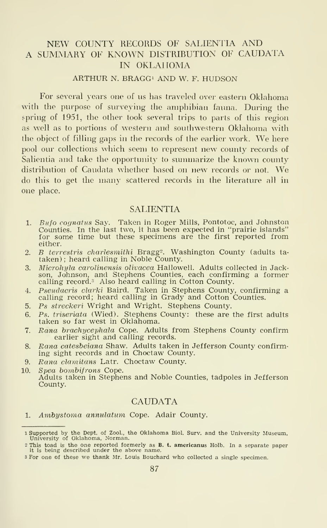### NEW COUNTY RECORDS OF SALIENTIA AND A SUMMARY OF KNOWN DISTRIBUTION OF CAUDATA IN OKLAHOMA

#### ARTHUR N. BRAGG<sup>1</sup> AND W. F. HUDSON

For several years one of us has traveled over eastern Oklahoma with the purpose of surveying the amphibian fauna. During the spring of 1951, the other took several trips to parts of this region as well as to portions of western and southwestern Oklahoma with the object of filling gaps in the records of the earlier work. We here pool our collections which seem to represent new county records of Salientia and take the opportunity to summarize the known county distribution of Caudata whether based on new records or not. We do this to get the many scattered records in the literature all in one place.

#### **SALIENTIA**

- 1. Bufo cognatus Say. Taken in Roger Mills, Pontotoc, and Johnston Counties. In the last two, it has been expected in "prairie islands" for some time but these specimens are the first reported from either.
- 2. *B terrestris charlesmithi* Bragg<sup>2</sup>. Washington County (adults tataken); heard calling in Noble County.
- 3. Microhyla carolinensis olivacea Hallowell. Adults collected in Jackson, Johnson, and Stephens Counties, each confirming a former<br>calling record.<sup>3</sup> Also heard calling in Cotton County.
- 4. Pseudacris clarki Baird. Taken in Stephens County, confirming a calling record; heard calling in Grady and Cotton Counties.
- 5. Ps streckeri Wright and Wright. Stephens County.
- 6. Ps. triseriata (Wied). Stephens County: these are the first adults taken so far west in Oklahoma.
- 7. Rana brachycephala Cope. Adults from Stephens County confirm earlier sight and calling records.
- 8. Rana catesbeiana Shaw. Adults taken in Jefferson County confirming sight records and in Choctaw County.
- 9. Rana clamitans Latr. Choctaw County.

10. Spea bombifrons Cope. Adults taken in Stephens and Noble Counties, tadpoles in Jefferson County.

#### **CAUDATA**

1. Ambystoma annulatum Cope. Adair County.

<sup>1</sup> Supported by the Dept. of Zool., the Oklahoma Biol. Surv. and the University Museum, University of Oklahoma, Norman.

<sup>2</sup> This toad is the one reported formerly as B. t. americanus Holb. In a separate paper it is being described under the above name. <sup>3</sup> For one of these we thank Mr. Louis Bouchard who collected a single specimen.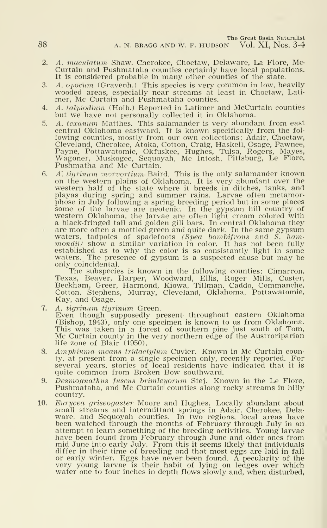The Great Basin Naturalist

88 A. N. BRAGG AND W. F. HUDSON Vol. XI, Nos. 3-4

- 2. A. maculatum Shaw. Cherokee, Choctaw, Delaware, La Flore, Mc-Curtain and Pushmataha counties certainly have local populations. It is considered probable in many other counties of the state.
- 3. A. opocum (Gravenh.) This species is very common in low, heavily wooded areas, especially near streams at least in Choctaw, Lati mer, Mc Curtain and Pushmataha counties.
- 4. A. talpiodium (Holb.) Reported in Latimer and McCurtain counties but we have not personally collected it in Oklahoma.
- 5. A. texanum Matthes. This salamander is very abundant from east central Oklahoma eastward. It is known specifically from the fol-<br>lowing counties, mostly from our own collections; Adair, Choctaw,<br>Cleveland, Cherokee, Atoka, Cotton, Craig, Haskell, Osage, Pawnee, Payne, Pottawatomie, Okfuskee, Hughes, Tulsa, Rogers, Mayes, Wagoner, Muskogee, Sequoyah, Mc Intosh, Pittsburg, Le Flore, Pushmatha and Mc Curtain.
- 6. A', tigrinum morvortium Baird. This is the only salamander known on the western plains of Oklahoma. It is very abundant over the western half of the state where it breeds in ditches, tanks, and playas during spring and summer rains. Larvae often metamor-<br>phose in July following a spring breeding period but in some places phose in July following a spring breeding period but in some places<br>some of the larvae are neotenic. In the gypsum hill country of<br>western Oklahoma, the larvae are often light cream colored with a black-fringed tail and golden gill bars. In central Oklahoma they are more often a mottled green and quite dark. In the same gypsum waters, tadpoles of spadefoots  $(Spea$  bombifrons and S. hammondii) show a similar variation in color. It has not been fully established as to why the color is so consistantly light in some waters. The presence of gypsum is a suspected cause but may be only coincidental.

The subspecies is known in the following counties: Cimarron, Texas, Beaver, Harper, Woodward, Ellis, Roger Mills, Custer, Beckham, Greer, Harmond, Kiowa, Tillman, Caddo, Commanche, Cotton, Stephens, Murray, Cleveland, Oklahoma, Pottawatomie, Kay, and Osage.

- 7. A. tigrinum tigrinum Green.<br>Even though supposedly present throughout eastern Oklahoma (Bishop, 1943), only one specimen is known to us from Oklahoma. This was taken in a forest of southern pine just south of Tom, Mc Curtain county in the very northern edge of the Austroriparian life zone of Blair (1950).
- 8. Amphiuma means tridactylum Cuvier. Known in Mc Curtain county, at present from a single specimen only, recently reported. For several years, stories of local residents have indicated that it is quite common from Broken Bow southward.
- 9. Desmognathus fuscus brimleyorum Stej. Known in the Le Flore, Pushmataha, and Mc Curtain counties along rocky streams in hilly country.
- 10. Eurycea griseogaster Moore and Hughes. Locally abundant about small streams and intermittant springs in Adair, Cherokee, Dela ware, and Sequoyah counties. In two regions, local areas have been watched through the months of February through July in an attempt to learn something of the breeding activities. Young larvae have been found from February through June and older ones from mid June into early July. From this it seems likely that individuals differ in their time of breeding and that most eggs are laid in fall or early winter. Eggs have never been found. A pecularity of the very young larvae is their habit of lying on ledges over which water one to four inches in depth flows slowly and, when disturbed,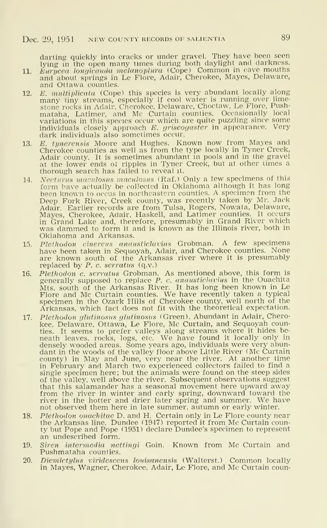darting quickly into cracks or under gravel. They have been seen lying in the open many times during both daylight and darkness.<br>11. Eurycea longicauda melanoplura (Cope) Common in cave mouths

- and about springs in Le Flore, Adair, Cherokee, Mayes, Delaware, and Ottawa counties.
- 12. E. multiplicata (Cope) this species is very abundant locally along many tiny streams, especially if cool water is running over lime stone rocks in Adair, Cherokee, Delaware, Choctaw, Le Flore, Pushmataha, Latimer, and Mc Curtain counties. Occasionally local variations in this species occur which are quite puzzling since some individuals closely approach  $E$ . griseogaster in appearance. Very dark individuals also sometimes occur.
- 13. E. tynerensis Moore and Hughes. Known now from Mayes and Cherokee counties as well as from the type locally in Tyner Creek, Adair county. It is sometimes abundant in pools and in the gravel at the lower ends of ripples in Tyner Creek, but at other times a thorough search has failed to reveal it.
- 14. Necturus maculosus maculosus (Raf.) Only <sup>a</sup> few specimens of this form have actually be collected in Oklahoma although it has long been known to occus in northeastern counties. A specimen from the Deep Fork River, Creek county, was recently taken by Mr. Jack Adair. Earlier records are from Tulsa, Rogers, Nowata, Delaware, Mayes, Cherokee, Adair, Haskell, and Latimer counties. It occurs<br>in Grand Lake and, therefore, presumably in Grand River which<br>was dammed to form it and is known as the Illinois river, both in<br>Oklahoma and Arkansas.
- 15. Plethodon cinereus anausticlavius Grobman. A few specimens have been taken in Sequoyah, Adair, and Cherokee counties. None are known south of the Arkansas river where it is presumably replaced by P. c. serratus (q.v.)
- 16. *Plethodon c. serratus* Grobman. As mentioned above, this form is generally supposed to replace *P. c. anausticlavius* in the Ouachita Mts. south of the Arkansas River. It has long been known in Le<br>Flore and Mc Curtain counties. We have recently taken a typical<br>specimen in the Ozark Hills of Cherokee county, well north of the<br>Arkansas, which fact does not
- 17. Plethodon glutinosus glutinosus (Green). Abundant in Adair, Cherokee, Delaware, Ottawa, Le Flore, Mc Curtain, and Sequoyah counties. It seems to prefer valleys along streams where it hides be- neath leaves, rocks, logs, etc. We have found it locally only in densely wooded areas. Some years ago, individuals were very abundant in the woods of the valley floor above Little River (Mc Curtain county) in May and June, very near the river. At another time in February and March two experienced collectors failed to find a single specimen here; but the animals were found on the steep sides of the valley, well above the river. Subsequent observations suggest that this salamander has a seasonal movement here upward away from the river in winter and early spring, downward toward the river in the hotter and drier later spring and summer. We have not observed them here in late summer, autumn or early winter.
- 18. Plethodon ouaehitae D. and H. Certain only in Le Flore county near the Arkansas line. Dundee (1947) reported it from Mc Curtain county but Pope and Pope (1951) declare Dundee's specimen to represent an undescribed form.
- 19. Siren intermedia nettingi Goin. Known from Mc Curtain and Pushmataha counties.
- 20. Diemictylus viridescens louisanensis (Walterst.) Common locally in Mayes, Wagner, Cherokee, Adair, Le Flore, and Mc Curtain coun-